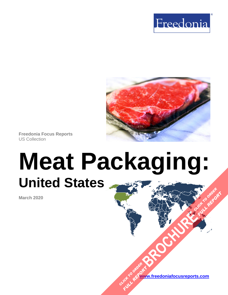



**Freedonia Focus Reports** US Collection

# **Meat Packaging: United States [BROCHURE](https://www.freedoniafocusreports.com/Meat-Packaging-United-States-FF30063/?progid=89541) CLICK TO ORDER**

**March 2020**

**[www.freedoniafocusreports.com](https://www.freedoniafocusreports.com/redirect.asp?progid=89534&url=/)** CLICK TO ORDER **FULL REPORT** 

**FULL REPORT**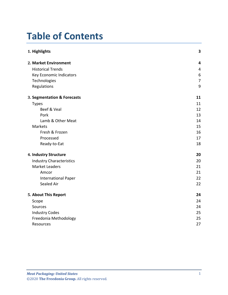# **Table of Contents**

| 1. Highlights                   | $\overline{\mathbf{3}}$ |
|---------------------------------|-------------------------|
| 2. Market Environment           | $\overline{\mathbf{4}}$ |
| <b>Historical Trends</b>        | 4                       |
| Key Economic Indicators         | 6                       |
| Technologies                    | $\overline{7}$          |
| Regulations                     | 9                       |
| 3. Segmentation & Forecasts     | 11                      |
| <b>Types</b>                    | 11                      |
| Beef & Veal                     | 12                      |
| Pork                            | 13                      |
| Lamb & Other Meat               | 14                      |
| <b>Markets</b>                  | 15                      |
| Fresh & Frozen                  | 16                      |
| Processed                       | 17                      |
| Ready-to-Eat                    | 18                      |
| 4. Industry Structure           | 20                      |
| <b>Industry Characteristics</b> | 20                      |
| <b>Market Leaders</b>           | 21                      |
| Amcor                           | 21                      |
| <b>International Paper</b>      | 22                      |
| Sealed Air                      | 22                      |
| 5. About This Report            | 24                      |
| Scope                           | 24                      |
| Sources                         | 24                      |
| <b>Industry Codes</b>           | 25                      |
| Freedonia Methodology           | 25                      |
| Resources                       | 27                      |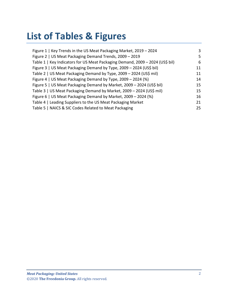# **List of Tables & Figures**

| Figure 1   Key Trends in the US Meat Packaging Market, 2019 - 2024            | 3  |
|-------------------------------------------------------------------------------|----|
| Figure 2   US Meat Packaging Demand Trends, 2009 - 2019                       | 5  |
| Table 1   Key Indicators for US Meat Packaging Demand, 2009 - 2024 (US\$ bil) | 6  |
| Figure 3   US Meat Packaging Demand by Type, 2009 - 2024 (US\$ bil)           | 11 |
| Table 2   US Meat Packaging Demand by Type, 2009 - 2024 (US\$ mil)            | 11 |
| Figure 4   US Meat Packaging Demand by Type, 2009 - 2024 (%)                  | 14 |
| Figure 5   US Meat Packaging Demand by Market, 2009 - 2024 (US\$ bil)         | 15 |
| Table 3   US Meat Packaging Demand by Market, 2009 - 2024 (US\$ mil)          | 15 |
| Figure 6   US Meat Packaging Demand by Market, 2009 - 2024 (%)                | 16 |
| Table 4   Leading Suppliers to the US Meat Packaging Market                   | 21 |
| Table 5   NAICS & SIC Codes Related to Meat Packaging                         | 25 |
|                                                                               |    |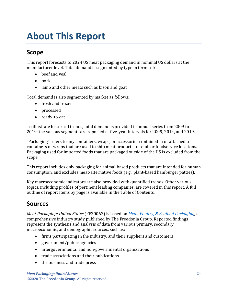# <span id="page-3-0"></span>**About This Report**

## <span id="page-3-1"></span>**Scope**

This report forecasts to 2024 US meat packaging demand in nominal US dollars at the manufacturer level. Total demand is segmented by type in terms of:

- beef and veal
- pork
- lamb and other meats such as bison and goat

Total demand is also segmented by market as follows:

- fresh and frozen
- processed
- ready-to-eat

To illustrate historical trends, total demand is provided in annual series from 2009 to 2019; the various segments are reported at five-year intervals for 2009, 2014, and 2019.

"Packaging" refers to any containers, wraps, or accessories contained in or attached to containers or wraps that are used to ship meat products to retail or foodservice locations. Packaging used for imported foods that are packaged outside of the US is excluded from the scope.

This report includes only packaging for animal-based products that are intended for human consumption, and excludes meat-alternative foods (e.g., plant-based hamburger patties).

Key macroeconomic indicators are also provided with quantified trends. Other various topics, including profiles of pertinent leading companies, are covered in this report. A full outline of report items by page is available in the Table of Contents.

## <span id="page-3-2"></span>**Sources**

*Meat Packaging: United States* (FF30063) is based on *[Meat, Poultry, & Seafood Packaging,](http://www.freedoniagroup.com/DocumentDetails.aspx?ReferrerId=FL-FOCUS&studyid=3787)* a comprehensive industry study published by The Freedonia Group. Reported findings represent the synthesis and analysis of data from various primary, secondary, macroeconomic, and demographic sources, such as:

- firms participating in the industry, and their suppliers and customers
- government/public agencies
- intergovernmental and non-governmental organizations
- trade associations and their publications
- the business and trade press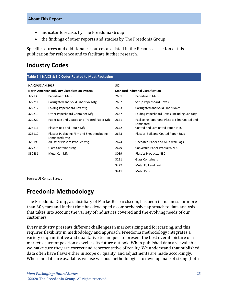- indicator forecasts by The Freedonia Group
- the findings of other reports and studies by The Freedonia Group

Specific sources and additional resources are listed in the Resources section of this publication for reference and to facilitate further research.

## <span id="page-4-0"></span>**Industry Codes**

<span id="page-4-2"></span>

| <b>Table 5   NAICS &amp; SIC Codes Related to Meat Packaging</b> |                                                                |                                           |                                                            |  |
|------------------------------------------------------------------|----------------------------------------------------------------|-------------------------------------------|------------------------------------------------------------|--|
| <b>NAICS/SCIAN 2017</b>                                          |                                                                | <b>SIC</b>                                |                                                            |  |
| North American Industry Classification System                    |                                                                | <b>Standard Industrial Classification</b> |                                                            |  |
| 322130                                                           | Paperboard Mills                                               | 2631                                      | Paperboard Mills                                           |  |
| 322211                                                           | Corrugated and Solid Fiber Box Mfg                             | 2652                                      | Setup Paperboard Boxes                                     |  |
| 322212                                                           | Folding Paperboard Box Mfg                                     | 2653                                      | Corrugated and Solid Fiber Boxes                           |  |
| 322219                                                           | Other Paperboard Container Mfg                                 | 2657                                      | Folding Paperboard Boxes, Including Sanitary               |  |
| 322220                                                           | Paper Bag and Coated and Treated Paper Mfg                     | 2671                                      | Packaging Paper and Plastics Film, Coated and<br>Laminated |  |
| 326111                                                           | Plastics Bag and Pouch Mfg                                     | 2672                                      | Coated and Laminated Paper, NEC                            |  |
| 326112                                                           | Plastics Packaging Film and Sheet (including<br>Laminated) Mfg | 2673                                      | Plastics, Foil, and Coated Paper Bags                      |  |
| 326199                                                           | All Other Plastics Product Mfg                                 | 2674                                      | Uncoated Paper and Multiwall Bags                          |  |
| 327213                                                           | <b>Glass Container Mfg</b>                                     | 2679                                      | Converted Paper Products, NEC                              |  |
| 332431                                                           | Metal Can Mfg                                                  | 3089                                      | Plastics Products, NEC                                     |  |
|                                                                  |                                                                | 3221                                      | <b>Glass Containers</b>                                    |  |
|                                                                  |                                                                | 3497                                      | Metal Foil and Leaf                                        |  |
|                                                                  |                                                                | 3411                                      | <b>Metal Cans</b>                                          |  |

Source: US Census Bureau

## <span id="page-4-1"></span>**Freedonia Methodology**

The Freedonia Group, a subsidiary of MarketResearch.com, has been in business for more than 30 years and in that time has developed a comprehensive approach to data analysis that takes into account the variety of industries covered and the evolving needs of our customers.

Every industry presents different challenges in market sizing and forecasting, and this requires flexibility in methodology and approach. Freedonia methodology integrates a variety of quantitative and qualitative techniques to present the best overall picture of a market's current position as well as its future outlook: When published data are available, we make sure they are correct and representative of reality. We understand that published data often have flaws either in scope or quality, and adjustments are made accordingly. Where no data are available, we use various methodologies to develop market sizing (both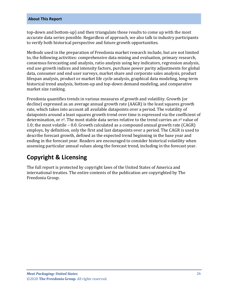#### **About This Report**

top-down and bottom-up) and then triangulate those results to come up with the most accurate data series possible. Regardless of approach, we also talk to industry participants to verify both historical perspective and future growth opportunities.

Methods used in the preparation of Freedonia market research include, but are not limited to, the following activities: comprehensive data mining and evaluation, primary research, consensus forecasting and analysis, ratio analysis using key indicators, regression analysis, end use growth indices and intensity factors, purchase power parity adjustments for global data, consumer and end user surveys, market share and corporate sales analysis, product lifespan analysis, product or market life cycle analysis, graphical data modeling, long-term historical trend analysis, bottom-up and top-down demand modeling, and comparative market size ranking.

Freedonia quantifies trends in various measures of growth and volatility. Growth (or decline) expressed as an average annual growth rate (AAGR) is the least squares growth rate, which takes into account all available datapoints over a period. The volatility of datapoints around a least squares growth trend over time is expressed via the coefficient of determination, or  $r^2$ . The most stable data series relative to the trend carries an  $r^2$  value of 1.0; the most volatile – 0.0. Growth calculated as a compound annual growth rate (CAGR) employs, by definition, only the first and last datapoints over a period. The CAGR is used to describe forecast growth, defined as the expected trend beginning in the base year and ending in the forecast year. Readers are encouraged to consider historical volatility when assessing particular annual values along the forecast trend, including in the forecast year.

## **Copyright & Licensing**

The full report is protected by copyright laws of the United States of America and international treaties. The entire contents of the publication are copyrighted by The Freedonia Group.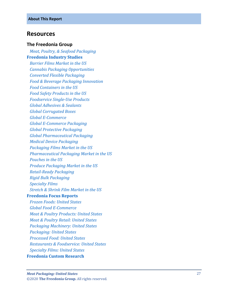## <span id="page-6-0"></span>**Resources**

#### **The Freedonia Group**

 *[Meat, Poultry, & Seafood Packaging](http://www.freedoniagroup.com/DocumentDetails.aspx?ReferrerId=FL-FOCUS&studyid=3787)* **[Freedonia Industry Studies](http://www.freedoniagroup.com/Home.aspx?ReferrerId=FL-Focus)**  *[Barrier Films Market in the US](https://www.freedoniagroup.com/DocumentDetails.aspx?ReferrerId=FL-FOCUS&StudyId=3513) [Cannabis Packaging Opportunities](https://www.freedoniagroup.com/DocumentDetails.aspx?ReferrerId=FL-FOCUS&StudyId=3773) [Converted Flexible Packaging](https://www.freedoniagroup.com/DocumentDetails.aspx?ReferrerId=FL-FOCUS&StudyId=3731) [Food & Beverage Packaging Innovation](https://www.freedoniagroup.com/DocumentDetails.aspx?ReferrerId=FL-FOCUS&StudyId=3736) [Food Containers in the US](https://www.freedoniagroup.com/DocumentDetails.aspx?ReferrerId=FL-FOCUS&StudyId=3609) [Food Safety Products in the US](https://www.freedoniagroup.com/DocumentDetails.aspx?ReferrerId=FL-FOCUS&StudyId=3613) [Foodservice Single](https://www.freedoniagroup.com/DocumentDetails.aspx?ReferrerId=FL-FOCUS&StudyId=3774) -Use Products [Global Adhesives & Sealants](https://www.freedoniagroup.com/DocumentDetails.aspx?ReferrerId=FL-FOCUS&StudyId=3715) [Global Corrugated Boxes](https://www.freedoniagroup.com/DocumentDetails.aspx?ReferrerId=FL-FOCUS&StudyId=3737) Global E [-Commerce](https://www.freedoniagroup.com/DocumentDetails.aspx?ReferrerId=FL-FOCUS&StudyId=3724) Global E [-Commerce Packaging](https://www.freedoniagroup.com/DocumentDetails.aspx?ReferrerId=FL-FOCUS&StudyId=3744) [Global Protective Packaging](https://www.freedoniagroup.com/DocumentDetails.aspx?ReferrerId=FL-FOCUS&StudyId=3741) [Global Pharmaceutical Packaging](https://www.freedoniagroup.com/DocumentDetails.aspx?ReferrerId=FL-FOCUS&StudyId=3758) [Medical Device Packaging](https://www.freedoniagroup.com/DocumentDetails.aspx?ReferrerId=FL-FOCUS&StudyId=3782) [Packaging Films Market in the US](https://www.freedoniagroup.com/DocumentDetails.aspx?ReferrerId=FL-FOCUS&StudyId=3529) [Pharmaceutical Packaging Market in the US](https://www.freedoniagroup.com/DocumentDetails.aspx?ReferrerId=FL-FOCUS&StudyId=3523) [Pouches in the US](https://www.freedoniagroup.com/DocumentDetails.aspx?ReferrerId=FL-FOCUS&StudyId=3665) [Produce Packaging Market in the US](https://www.freedoniagroup.com/DocumentDetails.aspx?ReferrerId=FL-FOCUS&StudyId=3632) Retail [-Ready Packaging](https://www.freedoniagroup.com/DocumentDetails.aspx?ReferrerId=FL-FOCUS&StudyId=3713) [Rigid Bulk Packaging](https://www.freedoniagroup.com/DocumentDetails.aspx?ReferrerId=FL-FOCUS&StudyId=3704) [Specialty Films](https://www.freedoniagroup.com/DocumentDetails.aspx?ReferrerId=FL-FOCUS&StudyId=3732) [Stretch & Shrink Film Market in the US](https://www.freedoniagroup.com/DocumentDetails.aspx?ReferrerId=FL-FOCUS&StudyId=3561)* **[Freedonia Focus Reports](https://www.freedoniafocusreports.com/redirect.asp?progid=89534&url=/)**  *[Frozen Foods: United States](https://www.freedoniafocusreports.com/Frozen-Foods-United-States-FF10015/?progid=89534) [Global Food E](https://www.freedoniafocusreports.com/Global-Food-E-Commerce-FW10063/?progid=89534) -Commerce*

 *[Meat & Poultry Products: United States](https://www.freedoniafocusreports.com/Meat-Poultry-Products-United-States-FF10017/?progid=89534)*

 *[Meat & Poultry Retail: United States](https://www.freedoniafocusreports.com/Meat-Poultry-Retail-United-States-FF10047/?progid=89534)*

 *[Packaging Machinery: United States](https://www.freedoniafocusreports.com/Packaging-Machinery-United-States-FF75038/?progid=89534)*

*[Packaging: United States](https://www.freedoniafocusreports.com/Packaging-United-States-FF30035/?progid=89534)*

*[Processed Food: United States](https://www.freedoniafocusreports.com/Processed-Food-United-States-FF10024/?progid=89534)*

*[Restaurants & Foodservice: United States](https://www.freedoniafocusreports.com/Restaurants-Foodservice-United-States-FF95019/?progid=89534)*

*[Specialty Films: United States](https://www.freedoniafocusreports.com/Specialty-Films-United-States-FF55048/?progid=89534)*

#### **[Freedonia Custom Research](http://www.freedoniagroup.com/CustomResearch.aspx?ReferrerId=FL-Focus)**